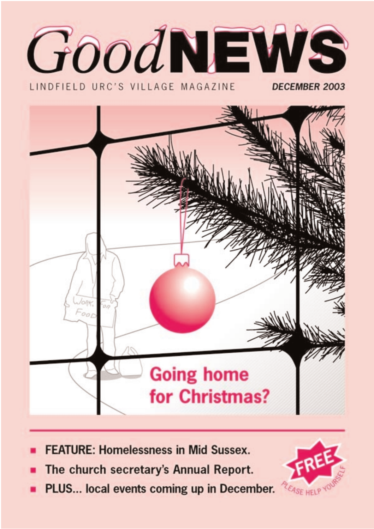

LINDFIFLD URC'S VILLAGE MAGAZINE

DECEMBER 2003



- **FEATURE: Homelessness in Mid Sussex.**
- The church secretary's Annual Report.
- PLUS... local events coming up in December.

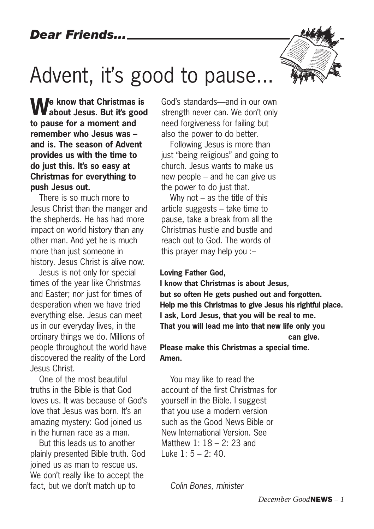# Advent, it's good to pause...

**We know that Christmas is about Jesus. But it's good to pause for a moment and remember who Jesus was – and is. The season of Advent provides us with the time to do just this. It's so easy at Christmas for everything to push Jesus out.** 

There is so much more to Jesus Christ than the manger and the shepherds. He has had more impact on world history than any other man. And yet he is much more than just someone in history. Jesus Christ is alive now.

Jesus is not only for special times of the year like Christmas and Easter; nor just for times of desperation when we have tried everything else. Jesus can meet us in our everyday lives, in the ordinary things we do. Millions of people throughout the world have discovered the reality of the Lord Jesus Christ.

One of the most beautiful truths in the Bible is that God loves us. It was because of God's love that Jesus was born. It's an amazing mystery: God joined us in the human race as a man.

But this leads us to another plainly presented Bible truth. God joined us as man to rescue us. We don't really like to accept the fact, but we don't match up to

God's standards––and in our own strength never can. We don't only need forgiveness for failing but also the power to do better.

Following Jesus is more than just "being religious" and going to church. Jesus wants to make us new people – and he can give us the power to do just that.

Why not  $-$  as the title of this article suggests – take time to pause, take a break from all the Christmas hustle and bustle and reach out to God. The words of this prayer may help you :–

#### **Loving Father God,**

**I know that Christmas is about Jesus, but so often He gets pushed out and forgotten. Help me this Christmas to give Jesus his rightful place. I ask, Lord Jesus, that you will be real to me. That you will lead me into that new life only you can give. Please make this Christmas a special time.** 

**Amen.**

You may like to read the account of the first Christmas for yourself in the Bible. I suggest that you use a modern version such as the Good News Bible or New International Version. See Matthew 1: 18 – 2: 23 and Luke 1: 5 – 2: 40.

*Colin Bones, minister*

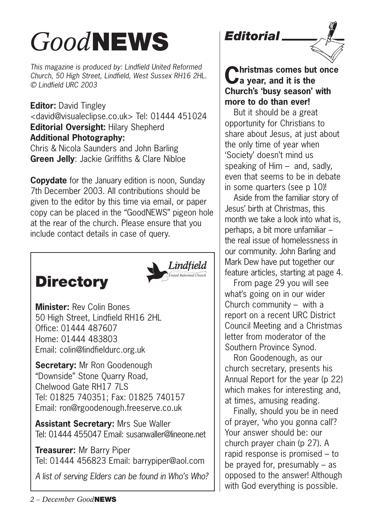# *Good***NEWS**

*This magazine is produced by: Lindfield United Reformed Church, 50 High Street, Lindfield, West Sussex RH16 2HL. © Lindfield URC 2003*

**Editor:** David Tingley <david@visualeclipse.co.uk> Tel: 01444 451024 **Editorial Oversight:** Hilary Shepherd **Additional Photography:** Chris & Nicola Saunders and John Barling

**Green Jelly**: Jackie Griffiths & Clare Nibloe

**Copydate** for the January edition is noon, Sunday 7th December 2003. All contributions should be given to the editor by this time via email, or paper copy can be placed in the "GoodNEWS" pigeon hole at the rear of the church. Please ensure that you include contact details in case of query.

# **Directory**



**Minister:** Rev Colin Bones 50 High Street, Lindfield RH16 2HL Office: 01444 487607 Home: 01444 483803 Email: colin@lindfieldurc.org.uk

**Secretary:** Mr Ron Goodenough "Downside" Stone Quarry Road, Chelwood Gate RH17 7LS Tel: 01825 740351; Fax: 01825 740157 Email: ron@rgoodenough.freeserve.co.uk

**Assistant Secretary:** Mrs Sue Waller Tel: 01444 455047 Email: susanwaller@lineone.net

**Treasurer:** Mr Barry Piper Tel: 01444 456823 Email: barrypiper@aol.com

*A list of serving Elders can be found in Who's Who?*





**Christmas comes but once a year, and it is the Church's 'busy season' with more to do than ever!** 

But it should be a great opportunity for Christians to share about Jesus, at just about the only time of year when 'Society' doesn't mind us speaking of Him – and, sadly, even that seems to be in debate in some quarters (see p 10)!

Aside from the familiar story of Jesus' birth at Christmas, this month we take a look into what is, perhaps, a bit more unfamiliar – the real issue of homelessness in our community. John Barling and Mark Dew have put together our feature articles, starting at page 4.

From page 29 you will see what's going on in our wider Church community – with a report on a recent URC District Council Meeting and a Christmas letter from moderator of the Southern Province Synod.

Ron Goodenough, as our church secretary, presents his Annual Report for the year (p 22) which makes for interesting and, at times, amusing reading.

Finally, should you be in need of prayer, 'who you gonna call'? Your answer should be: our church prayer chain (p 27). A rapid response is promised – to be prayed for, presumably – as opposed to the answer! Although with God everything is possible.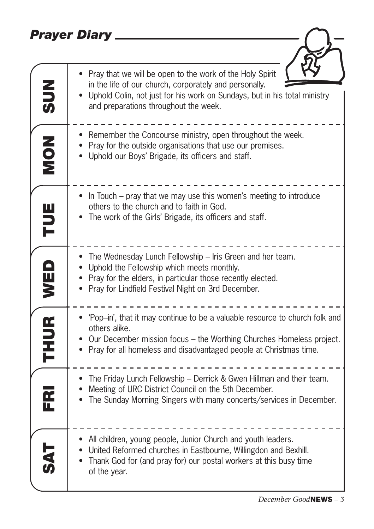## *Prayer Diary*

| <b>NUS</b>  | Pray that we will be open to the work of the Holy Spirit<br>in the life of our church, corporately and personally.<br>Uphold Colin, not just for his work on Sundays, but in his total ministry<br>and preparations throughout the week.  |
|-------------|-------------------------------------------------------------------------------------------------------------------------------------------------------------------------------------------------------------------------------------------|
| NON         | Remember the Concourse ministry, open throughout the week.<br>Pray for the outside organisations that use our premises.<br>Uphold our Boys' Brigade, its officers and staff.                                                              |
| Ë           | In Touch – pray that we may use this women's meeting to introduce<br>others to the church and to faith in God.<br>The work of the Girls' Brigade, its officers and staff.                                                                 |
| WED         | The Wednesday Lunch Fellowship - Iris Green and her team.<br>Uphold the Fellowship which meets monthly.<br>Pray for the elders, in particular those recently elected.<br>Pray for Lindfield Festival Night on 3rd December.               |
| <b>THUR</b> | 'Pop-in', that it may continue to be a valuable resource to church folk and<br>others alike.<br>Our December mission focus - the Worthing Churches Homeless project.<br>Pray for all homeless and disadvantaged people at Christmas time. |
| FR          | The Friday Lunch Fellowship - Derrick & Gwen Hillman and their team.<br>Meeting of URC District Council on the 5th December.<br>The Sunday Morning Singers with many concerts/services in December.                                       |
|             | • All children, young people, Junior Church and youth leaders.<br>• United Reformed churches in Eastbourne, Willingdon and Bexhill.<br>Thank God for (and pray for) our postal workers at this busy time<br>of the year.                  |

 $\overline{\mathbf{r}}$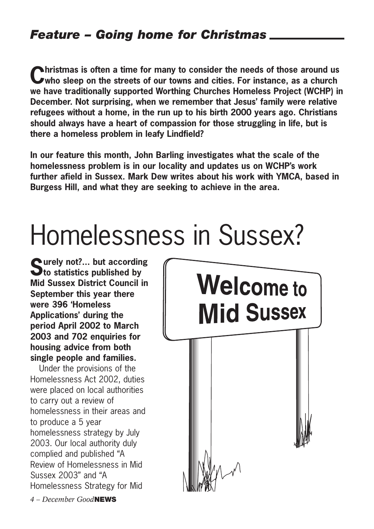## *Feature – Going home for Christmas*

**Christmas is often a time for many to consider the needs of those around us who sleep on the streets of our towns and cities. For instance, as a church we have traditionally supported Worthing Churches Homeless Project (WCHP) in December. Not surprising, when we remember that Jesus' family were relative refugees without a home, in the run up to his birth 2000 years ago. Christians should always have a heart of compassion for those struggling in life, but is there a homeless problem in leafy Lindfield?**

**In our feature this month, John Barling investigates what the scale of the homelessness problem is in our locality and updates us on WCHP's work further afield in Sussex. Mark Dew writes about his work with YMCA, based in Burgess Hill, and what they are seeking to achieve in the area.** 

# Homelessness in Sussex?

**Surely not?... but according to statistics published by Mid Sussex District Council in September this year there were 396 'Homeless Applications' during the period April 2002 to March 2003 and 702 enquiries for housing advice from both single people and families.**

Under the provisions of the Homelessness Act 2002, duties were placed on local authorities to carry out a review of homelessness in their areas and to produce a 5 year homelessness strategy by July 2003. Our local authority duly complied and published "A Review of Homelessness in Mid Sussex 2003" and "A Homelessness Strategy for Mid

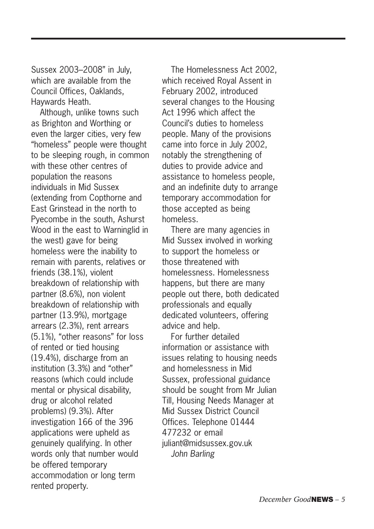Sussex 2003–2008" in July, which are available from the Council Offices, Oaklands, Haywards Heath.

Although, unlike towns such as Brighton and Worthing or even the larger cities, very few "homeless" people were thought to be sleeping rough, in common with these other centres of population the reasons individuals in Mid Sussex (extending from Copthorne and East Grinstead in the north to Pyecombe in the south, Ashurst Wood in the east to Warninglid in the west) gave for being homeless were the inability to remain with parents, relatives or friends (38.1%), violent breakdown of relationship with partner (8.6%), non violent breakdown of relationship with partner (13.9%), mortgage arrears (2.3%), rent arrears (5.1%), "other reasons" for loss of rented or tied housing (19.4%), discharge from an institution (3.3%) and "other" reasons (which could include mental or physical disability, drug or alcohol related problems) (9.3%). After investigation 166 of the 396 applications were upheld as genuinely qualifying. In other words only that number would be offered temporary accommodation or long term rented property.

The Homelessness Act 2002, which received Royal Assent in February 2002, introduced several changes to the Housing Act 1996 which affect the Council's duties to homeless people. Many of the provisions came into force in July 2002, notably the strengthening of duties to provide advice and assistance to homeless people, and an indefinite duty to arrange temporary accommodation for those accepted as being homeless.

There are many agencies in Mid Sussex involved in working to support the homeless or those threatened with homelessness. Homelessness happens, but there are many people out there, both dedicated professionals and equally dedicated volunteers, offering advice and help.

For further detailed information or assistance with issues relating to housing needs and homelessness in Mid Sussex, professional guidance should be sought from Mr Julian Till, Housing Needs Manager at Mid Sussex District Council Offices. Telephone 01444 477232 or email juliant@midsussex.gov.uk *John Barling*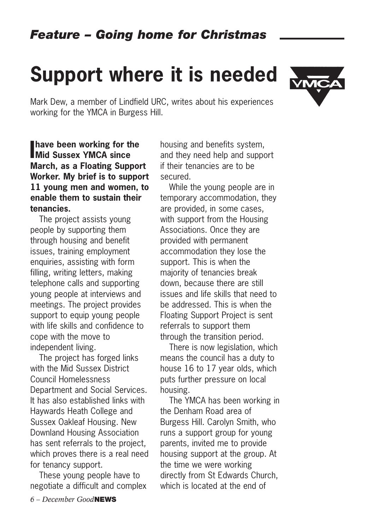# **Support where it is needed**



**I** have been working for the<br>**I** Mid Sussex YMCA since **Mid Sussex YMCA since March, as a Floating Support Worker. My brief is to support 11 young men and women, to enable them to sustain their tenancies.**

The project assists young people by supporting them through housing and benefit issues, training employment enquiries, assisting with form filling, writing letters, making telephone calls and supporting young people at interviews and meetings. The project provides support to equip young people with life skills and confidence to cope with the move to independent living.

The project has forged links with the Mid Sussex District Council Homelessness Department and Social Services. It has also established links with Haywards Heath College and Sussex Oakleaf Housing. New Downland Housing Association has sent referrals to the project, which proves there is a real need for tenancy support.

These young people have to negotiate a difficult and complex

housing and benefits system, and they need help and support if their tenancies are to be secured.

While the young people are in temporary accommodation, they are provided, in some cases, with support from the Housing Associations. Once they are provided with permanent accommodation they lose the support. This is when the majority of tenancies break down, because there are still issues and life skills that need to be addressed. This is when the Floating Support Project is sent referrals to support them through the transition period.

There is now legislation, which means the council has a duty to house 16 to 17 year olds, which puts further pressure on local housing.

The YMCA has been working in the Denham Road area of Burgess Hill. Carolyn Smith, who runs a support group for young parents, invited me to provide housing support at the group. At the time we were working directly from St Edwards Church, which is located at the end of

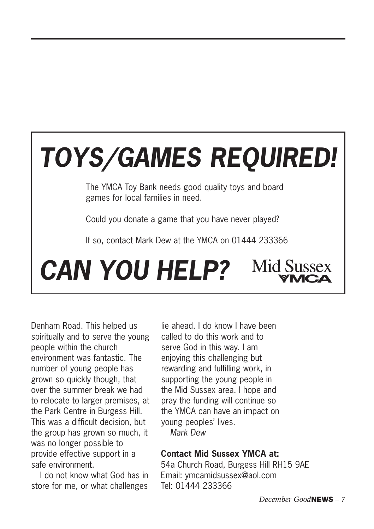# *TOYS/GAMES REQUIRED!*

The YMCA Toy Bank needs good quality toys and board games for local families in need.

Could you donate a game that you have never played?

If so, contact Mark Dew at the YMCA on 01444 233366

**Mid Sussex** *CAN YOU HELP?*

Denham Road. This helped us spiritually and to serve the young people within the church environment was fantastic. The number of young people has grown so quickly though, that over the summer break we had to relocate to larger premises, at the Park Centre in Burgess Hill. This was a difficult decision, but the group has grown so much, it was no longer possible to provide effective support in a safe environment.

I do not know what God has in store for me, or what challenges lie ahead. I do know I have been called to do this work and to serve God in this way. I am enjoying this challenging but rewarding and fulfilling work, in supporting the young people in the Mid Sussex area. I hope and pray the funding will continue so the YMCA can have an impact on young peoples' lives.

*Mark Dew*

#### **Contact Mid Sussex YMCA at:**

54a Church Road, Burgess Hill RH15 9AE Email: ymcamidsussex@aol.com Tel: 01444 233366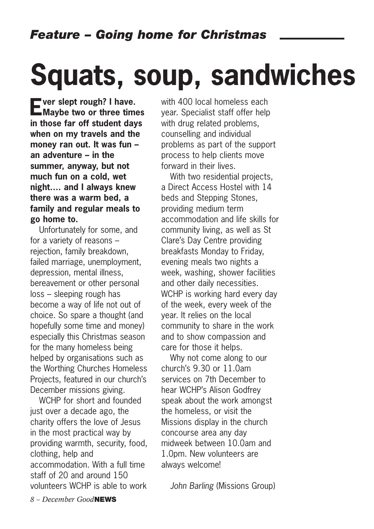# **Squats, soup, sandwiches**

**Ever slept rough? I have. Maybe two or three times in those far off student days when on my travels and the money ran out. It was fun – an adventure – in the summer, anyway, but not much fun on a cold, wet night…. and I always knew there was a warm bed, a family and regular meals to go home to.**

Unfortunately for some, and for a variety of reasons – rejection, family breakdown, failed marriage, unemployment, depression, mental illness, bereavement or other personal loss – sleeping rough has become a way of life not out of choice. So spare a thought (and hopefully some time and money) especially this Christmas season for the many homeless being helped by organisations such as the Worthing Churches Homeless Projects, featured in our church's December missions giving.

WCHP for short and founded just over a decade ago, the charity offers the love of Jesus in the most practical way by providing warmth, security, food, clothing, help and accommodation. With a full time staff of 20 and around 150 volunteers WCHP is able to work with 400 local homeless each year. Specialist staff offer help with drug related problems, counselling and individual problems as part of the support process to help clients move forward in their lives.

With two residential projects. a Direct Access Hostel with 14 beds and Stepping Stones, providing medium term accommodation and life skills for community living, as well as St Clare's Day Centre providing breakfasts Monday to Friday, evening meals two nights a week, washing, shower facilities and other daily necessities. WCHP is working hard every day of the week, every week of the year. It relies on the local community to share in the work and to show compassion and care for those it helps.

Why not come along to our church's 9.30 or 11.0am services on 7th December to hear WCHP's Alison Godfrey speak about the work amongst the homeless, or visit the Missions display in the church concourse area any day midweek between 10.0am and 1.0pm. New volunteers are always welcome!

*John Barling* (Missions Group)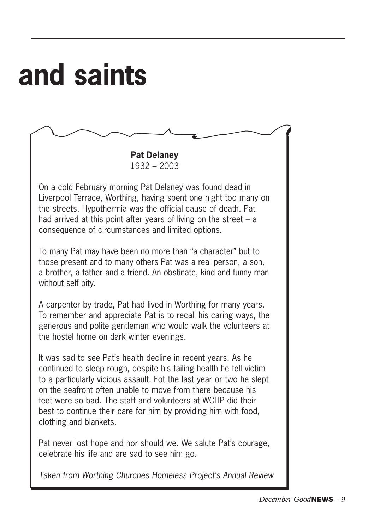# **and saints**

**Pat Delaney** 1932 – 2003

On a cold February morning Pat Delaney was found dead in Liverpool Terrace, Worthing, having spent one night too many on the streets. Hypothermia was the official cause of death. Pat had arrived at this point after years of living on the street – a consequence of circumstances and limited options.

To many Pat may have been no more than "a character" but to those present and to many others Pat was a real person, a son, a brother, a father and a friend. An obstinate, kind and funny man without self pity.

A carpenter by trade, Pat had lived in Worthing for many years. To remember and appreciate Pat is to recall his caring ways, the generous and polite gentleman who would walk the volunteers at the hostel home on dark winter evenings.

It was sad to see Pat's health decline in recent years. As he continued to sleep rough, despite his failing health he fell victim to a particularly vicious assault. Fot the last year or two he slept on the seafront often unable to move from there because his feet were so bad. The staff and volunteers at WCHP did their best to continue their care for him by providing him with food, clothing and blankets.

Pat never lost hope and nor should we. We salute Pat's courage, celebrate his life and are sad to see him go.

*Taken from Worthing Churches Homeless Project's Annual Review*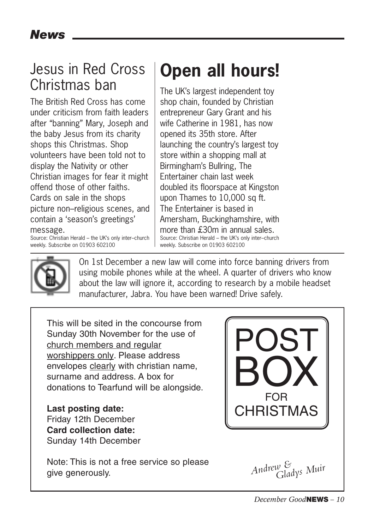# Jesus in Red Cross Christmas ban

The British Red Cross has come under criticism from faith leaders after "banning" Mary, Joseph and the baby Jesus from its charity shops this Christmas. Shop volunteers have been told not to display the Nativity or other Christian images for fear it might offend those of other faiths. Cards on sale in the shops picture non–religious scenes, and contain a 'season's greetings'

#### message.

Source: Christian Herald – the UK's only inter–church weekly. Subscribe on 01903 602100

# **Open all hours!**

The UK's largest independent toy shop chain, founded by Christian entrepreneur Gary Grant and his wife Catherine in 1981, has now opened its 35th store. After launching the country's largest toy store within a shopping mall at Birmingham's Bullring, The Entertainer chain last week doubled its floorspace at Kingston upon Thames to 10,000 sq ft. The Entertainer is based in Amersham, Buckinghamshire, with more than £30m in annual sales. Source: Christian Herald – the UK's only inter–church weekly. Subscribe on 01903 602100



On 1st December a new law will come into force banning drivers from using mobile phones while at the wheel. A quarter of drivers who know about the law will ignore it, according to research by a mobile headset manufacturer, Jabra. You have been warned! Drive safely.

This will be sited in the concourse from Sunday 30th November for the use of church members and regular worshippers only. Please address envelopes clearly with christian name, surname and address. A box for donations to Tearfund will be alongside.

**Last posting date:** Friday 12th December **Card collection date:** Sunday 14th December

Note: This is not a free service so please give generously.

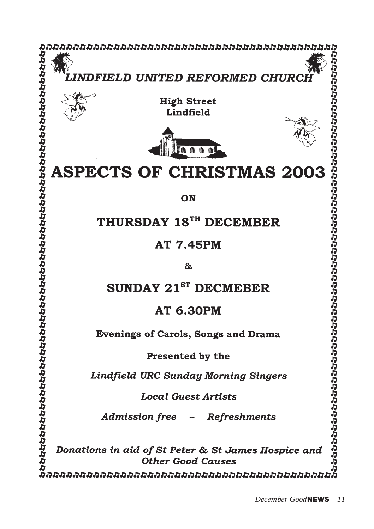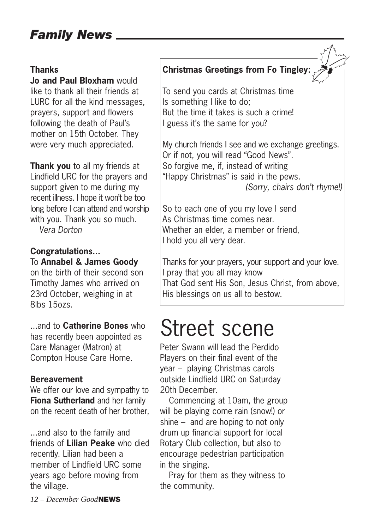## *Family News*

#### **Thanks**

**Jo and Paul Bloxham** would like to thank all their friends at LURC for all the kind messages, prayers, support and flowers following the death of Paul's mother on 15th October. They were very much appreciated.

**Thank you** to all my friends at Lindfield URC for the prayers and support given to me during my recent illness. I hope it won't be too long before I can attend and worship with you. Thank you so much. *Vera Dorton*

**Congratulations...** To **Annabel & James Goody** 

on the birth of their second son Timothy James who arrived on 23rd October, weighing in at 8lbs 15ozs.

...and to **Catherine Bones** who has recently been appointed as Care Manager (Matron) at Compton House Care Home.

#### **Bereavement**

We offer our love and sympathy to **Fiona Sutherland** and her family on the recent death of her brother,

...and also to the family and friends of **Lilian Peake** who died recently. Lilian had been a member of Lindfield URC some years ago before moving from the village.

**Christmas Greetings from Fo Tingley:**

To send you cards at Christmas time Is something I like to do; But the time it takes is such a crime! I guess it's the same for you?

My church friends I see and we exchange greetings. Or if not, you will read "Good News". So forgive me, if, instead of writing "Happy Christmas" is said in the pews.

*(Sorry, chairs don't rhyme!)*

So to each one of you my love I send As Christmas time comes near. Whether an elder, a member or friend, I hold you all very dear.

Thanks for your prayers, your support and your love. I pray that you all may know That God sent His Son, Jesus Christ, from above, His blessings on us all to bestow.

# Street scene

Peter Swann will lead the Perdido Players on their final event of the year – playing Christmas carols outside Lindfield URC on Saturday 20th December.

Commencing at 10am, the group will be playing come rain (snow!) or shine – and are hoping to not only drum up financial support for local Rotary Club collection, but also to encourage pedestrian participation in the singing.

Pray for them as they witness to the community.

*12 – December Good***NEWS**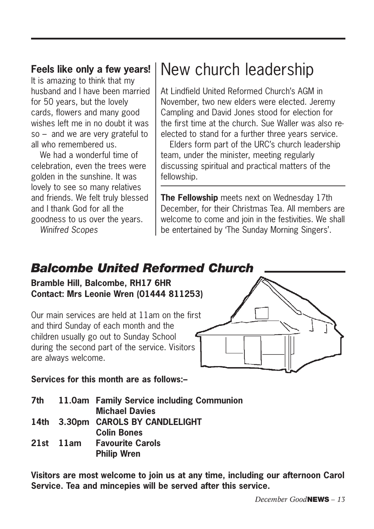#### **Feels like only a few years!**

It is amazing to think that my husband and I have been married for 50 years, but the lovely cards, flowers and many good wishes left me in no doubt it was so – and we are very grateful to all who remembered us.

We had a wonderful time of celebration, even the trees were golden in the sunshine. It was lovely to see so many relatives and friends. We felt truly blessed and I thank God for all the goodness to us over the years. *Winifred Scopes*

# New church leadership

At Lindfield United Reformed Church's AGM in November, two new elders were elected. Jeremy Campling and David Jones stood for election for the first time at the church. Sue Waller was also reelected to stand for a further three years service.

Elders form part of the URC's church leadership team, under the minister, meeting regularly discussing spiritual and practical matters of the fellowship.

**The Fellowship** meets next on Wednesday 17th December, for their Christmas Tea. All members are welcome to come and join in the festivities. We shall be entertained by 'The Sunday Morning Singers'.

## *Balcombe United Reformed Church*

**Bramble Hill, Balcombe, RH17 6HR Contact: Mrs Leonie Wren (01444 811253)**

Our main services are held at 11am on the first and third Sunday of each month and the children usually go out to Sunday School during the second part of the service. Visitors are always welcome.



**Services for this month are as follows:–**

|  | 7th 11.0am Family Service including Communion |
|--|-----------------------------------------------|
|  | <b>Michael Davies</b>                         |
|  | 14th 3.30pm CAROLS BY CANDLELIGHT             |
|  | <b>Colin Bones</b>                            |
|  | 21st 11am Favourite Carols                    |
|  | <b>Philip Wren</b>                            |

**Visitors are most welcome to join us at any time, including our afternoon Carol Service. Tea and mincepies will be served after this service.**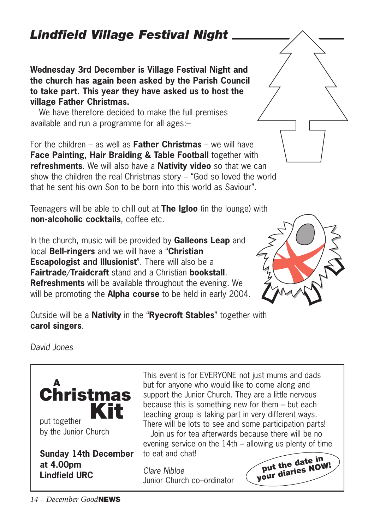## *Lindfield Village Festival Night*

**Wednesday 3rd December is Village Festival Night and the church has again been asked by the Parish Council to take part. This year they have asked us to host the village Father Christmas.**

We have therefore decided to make the full premises available and run a programme for all ages:–

For the children – as well as **Father Christmas** – we will have **Face Painting, Hair Braiding & Table Football** together with **refreshments**. We will also have a **Nativity video** so that we can show the children the real Christmas story – "God so loved the world that he sent his own Son to be born into this world as Saviour".

Teenagers will be able to chill out at **The Igloo** (in the lounge) with **non-alcoholic cocktails**, coffee etc.

In the church, music will be provided by **Galleons Leap** and local **Bell-ringers** and we will have a "**Christian Escapologist and Illusionist**". There will also be a **Fairtrade**/**Traidcraft** stand and a Christian **bookstall**. **Refreshments** will be available throughout the evening. We will be promoting the **Alpha course** to be held in early 2004.



*David Jones*



This event is for EVERYONE not just mums and dads but for anyone who would like to come along and support the Junior Church. They are a little nervous because this is something new for them – but each teaching group is taking part in very different ways. There will be lots to see and some participation parts! Join us for tea afterwards because there will be no evening service on the 14th – allowing us plenty of time to eat and chat!

*Clare Nibloe*  Junior Church co–ordinator





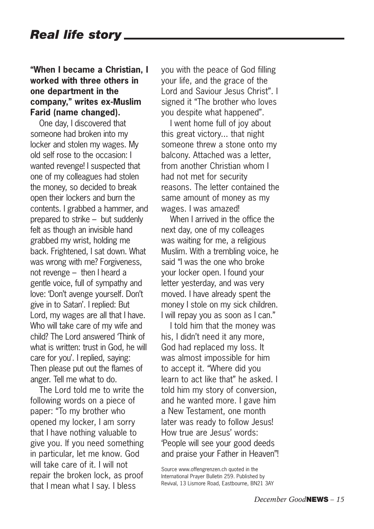#### **"When I became a Christian, I worked with three others in one department in the company," writes ex-Muslim Farid (name changed).**

One day, I discovered that someone had broken into my locker and stolen my wages. My old self rose to the occasion: I wanted revenge! I suspected that one of my colleagues had stolen the money, so decided to break open their lockers and burn the contents. I grabbed a hammer, and prepared to strike – but suddenly felt as though an invisible hand grabbed my wrist, holding me back. Frightened, I sat down. What was wrong with me? Forgiveness, not revenge – then I heard a gentle voice, full of sympathy and love: 'Don't avenge yourself. Don't give in to Satan'. I replied: But Lord, my wages are all that I have. Who will take care of my wife and child? The Lord answered 'Think of what is written: trust in God, he will care for you'. I replied, saying: Then please put out the flames of anger. Tell me what to do.

The Lord told me to write the following words on a piece of paper: "To my brother who opened my locker, I am sorry that I have nothing valuable to give you. If you need something in particular, let me know. God will take care of it. I will not repair the broken lock, as proof that I mean what I say. I bless

you with the peace of God filling your life, and the grace of the Lord and Saviour Jesus Christ". I signed it "The brother who loves you despite what happened".

I went home full of joy about this great victory... that night someone threw a stone onto my balcony. Attached was a letter, from another Christian whom I had not met for security reasons. The letter contained the same amount of money as my wages. I was amazed!

When I arrived in the office the next day, one of my colleages was waiting for me, a religious Muslim. With a trembling voice, he said "I was the one who broke your locker open. I found your letter yesterday, and was very moved. I have already spent the money I stole on my sick children. I will repay you as soon as I can."

I told him that the money was his, I didn't need it any more, God had replaced my loss. It was almost impossible for him to accept it. "Where did you learn to act like that" he asked. I told him my story of conversion, and he wanted more. I gave him a New Testament, one month later was ready to follow Jesus! How true are Jesus' words: 'People will see your good deeds and praise your Father in Heaven"!

Source www.offengrenzen.ch quoted in the International Prayer Bulletin 259. Published by Revival, 13 Lismore Road, Eastbourne, BN21 3AY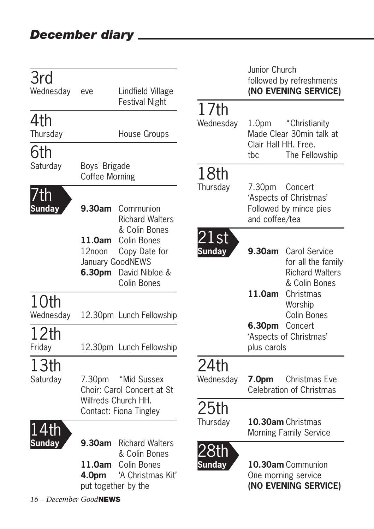| 3rd                  |                                 |                                                                                                           |                              | Junior Church                             | followed by refreshments                                                              |
|----------------------|---------------------------------|-----------------------------------------------------------------------------------------------------------|------------------------------|-------------------------------------------|---------------------------------------------------------------------------------------|
| Wednesday            | eve                             | Lindfield Village                                                                                         |                              |                                           | (NO EVENING SERVICE)                                                                  |
| 4th<br>Thursday      |                                 | <b>Festival Night</b><br>House Groups                                                                     | 17th<br>Wednesday            | 1.0 <sub>pm</sub><br>Clair Hall HH, Free. | *Christianity<br>Made Clear 30min talk at                                             |
| 6th                  |                                 |                                                                                                           |                              | tbc                                       | The Fellowship                                                                        |
| Saturday             | Boys' Brigade<br>Coffee Morning |                                                                                                           | 18th                         |                                           |                                                                                       |
| 'th<br><b>Sunday</b> | 9.30am                          | Communion<br><b>Richard Walters</b>                                                                       | Thursday                     | 7.30 <sub>pm</sub><br>and coffee/tea      | Concert<br>'Aspects of Christmas'<br>Followed by mince pies                           |
|                      | 12noon<br>6.30pm                | & Colin Bones<br>11.0am Colin Bones<br>Copy Date for<br>January GoodNEWS<br>David Nibloe &<br>Colin Bones | <u>21st</u><br><b>Sunday</b> |                                           | 9.30am Carol Service<br>for all the family<br><b>Richard Walters</b><br>& Colin Bones |
| 10th<br>Wednesday    |                                 | 12.30pm Lunch Fellowship                                                                                  |                              | $11.0$ am                                 | Christmas<br>Worship<br>Colin Bones                                                   |
| 12th<br>Friday       |                                 | 12.30pm Lunch Fellowship                                                                                  |                              | 6.30pm Concert<br>plus carols             | 'Aspects of Christmas'                                                                |
| 13th<br>Saturday     | 7.30pm                          | *Mid Sussex<br>Choir: Carol Concert at St                                                                 | 24th<br>Wednesday            | 7.0pm                                     | Christmas Eve<br>Celebration of Christmas                                             |
|                      |                                 | Wilfreds Church HH.<br>Contact: Fiona Tingley                                                             | 25th<br>Thursday             |                                           | 10.30am Christmas<br>Morning Family Service                                           |
| Sundav               | 9.30am<br>11.0am<br>4.0pm       | <b>Richard Walters</b><br>& Colin Bones<br>Colin Bones<br>'A Christmas Kit'<br>put together by the        | <b>Sunday</b>                |                                           | 10.30am Communion<br>One morning service<br>(NO EVENING SERVICE)                      |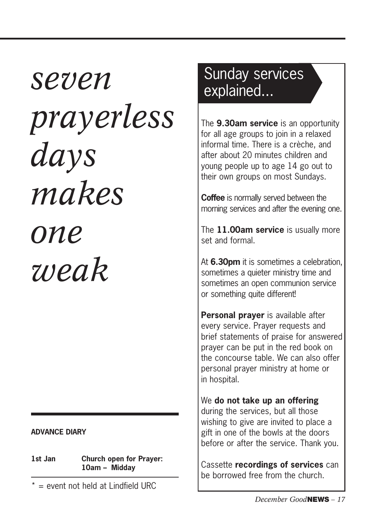# *seven prayerless days makes one weak*

#### **ADVANCE DIARY**

**1st Jan Church open for Prayer: 10am – Midday**

 $* =$  event not held at Lindfield URC

# Sunday services explained...

The **9.30am service** is an opportunity for all age groups to join in a relaxed informal time. There is a crèche, and after about 20 minutes children and young people up to age 14 go out to their own groups on most Sundays.

**Coffee** is normally served between the morning services and after the evening one.

The **11.00am service** is usually more set and formal.

At **6.30pm** it is sometimes a celebration, sometimes a quieter ministry time and sometimes an open communion service or something quite different!

**Personal prayer** is available after every service. Prayer requests and brief statements of praise for answered prayer can be put in the red book on the concourse table. We can also offer personal prayer ministry at home or in hospital.

We **do not take up an offering** during the services, but all those wishing to give are invited to place a gift in one of the bowls at the doors before or after the service. Thank you.

Cassette **recordings of services** can be borrowed free from the church.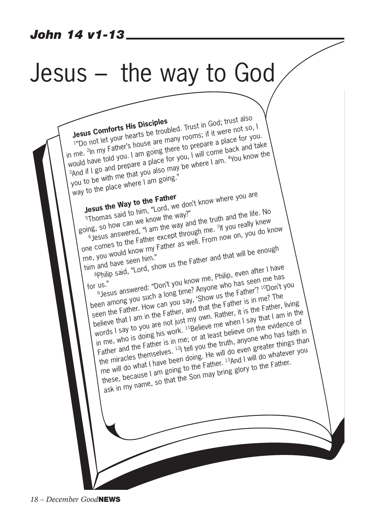# Jesus – the way to God

**Jesus Comforts His Disciples**<br>
1<sup>*n*</sup>Do not let your hearts be troubled. Trust in God; trust also<br>
1<sup>*n*</sup>Do not let use's house are many to prepare a place for y **Jesus Comforts His Discipled.** Trust in God, the not so, I<br>  $\frac{1}{2}$  in me. <sup>2</sup>In my Father's house are many rooms; if it were not so, I<br>
in me. <sup>2</sup>In my Father's house are mare to prepare a place k and to **Jesus Comforts His Disciples**<br> **IPDO not let your hearts be troubled.** Trust in God; trust also, I<br>
in me. <sup>2</sup>ln my Father's house are many rooms; if it were not so, I<br>
in me. <sup>2</sup>ln my Father's house are many rooms a plac  $\frac{1}{1}$  mpc flot is a place for the same there to prepare a place for you, I will come back and take<br>would have told you. I am going there to you, I will come back and take<br>a place for you, I will come back and we where me. Firm, the with me that you is a place for you, I will come begin a place to you, I will come begin and the<br>And if I go and prepare a place for you, I will come is am. 4You know the<br>you to be with me that you also may b way to the place where I am going." **Jesus the Way to the Father**<br> **Jesus the Way to him,** "Lord, we don't know where you are<br> **5Thomas said to him, "Lord, we know"** going, so how can we know the way?" Bous and to him, "Lold,"<br>Thomas said to him, "Lold," "<br>ng, so how can we know the way and the truth and the life. No<br>6 Jesus answered, "I am the way and the CIT, you really knew<br>6 Jesus answered, "I am the way in From now one comes to the Father except through me. 7If you really knew If you really knew who would know my Father as well. From now on, you do know him and have seen him." bothes correspond know my Father and that will be enough<br>and have seen him."<br>sphilip said, "Lord, show us the Father and that will be enough<br>me Philip, even after I have for us." ally have<br>Philip said, "Lord, show us a...<br>us."<br>Besus answered: "Don't you know me, Philip, even after in hase."<br>Besus answered: "Don't you know us the Father"? "Don't been among you such a long time? Anyone who has seen me has seen the Father. How can you say, 'Show us the Father'? <sup>10</sup>Don't you believe that I am in the Father, and that the Father is in me? The words I say to you are not just my own. Rather, it is the Father, living who is doing his work. <sup>11</sup>Believe me when I say that I am in the in me, who is doing his work. <sup>11</sup>Believe me when I say that I am in the Father and the Father is in me; or at least believe on the evidence of the miracles themselves. 12I tell you the truth, anyone who has faith in the miracles themselves. 12I tell you the truth, anyone who has faith in me will do what I have been doing. He will do even greater things than these, because I am going to the Father. 13And I will do whatever you ask in my name, so that the Son may bring glory to the Father.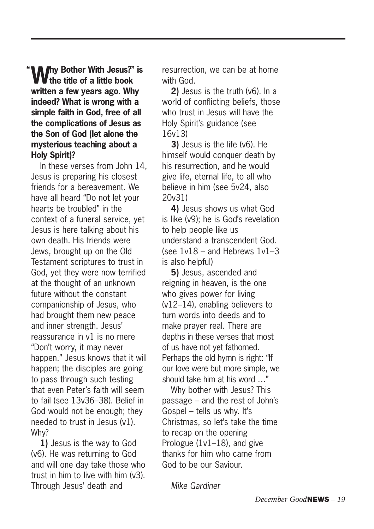**Why Bother With Jesus?" is the title of a little book written a few years ago. Why indeed? What is wrong with a simple faith in God, free of all the complications of Jesus as the Son of God (let alone the mysterious teaching about a Holy Spirit)? "**

In these verses from John 14, Jesus is preparing his closest friends for a bereavement. We have all heard "Do not let your hearts be troubled" in the context of a funeral service, yet Jesus is here talking about his own death. His friends were Jews, brought up on the Old Testament scriptures to trust in God, yet they were now terrified at the thought of an unknown future without the constant companionship of Jesus, who had brought them new peace and inner strength. Jesus' reassurance in v1 is no mere "Don't worry, it may never happen." Jesus knows that it will happen; the disciples are going to pass through such testing that even Peter's faith will seem to fail (see 13v36–38). Belief in God would not be enough; they needed to trust in Jesus (v1). Why?

**1)** Jesus is the way to God (v6). He was returning to God and will one day take those who trust in him to live with him (v3). Through Jesus' death and

resurrection, we can be at home with God.

**2)** Jesus is the truth (v6). In a world of conflicting beliefs, those who trust in Jesus will have the Holy Spirit's guidance (see 16v13)

**3)** Jesus is the life (v6). He himself would conquer death by his resurrection, and he would give life, eternal life, to all who believe in him (see 5v24, also 20v31)

**4)** Jesus shows us what God is like (v9); he is God's revelation to help people like us understand a transcendent God. (see  $1v18$  – and Hebrews  $1v1-3$ is also helpful)

**5)** Jesus, ascended and reigning in heaven, is the one who gives power for living (v12–14), enabling believers to turn words into deeds and to make prayer real. There are depths in these verses that most of us have not yet fathomed. Perhaps the old hymn is right: "If our love were but more simple, we should take him at his word …"

Why bother with Jesus? This passage – and the rest of John's Gospel – tells us why. It's Christmas, so let's take the time to recap on the opening Prologue (1v1–18), and give thanks for him who came from God to be our Saviour.

*Mike Gardiner*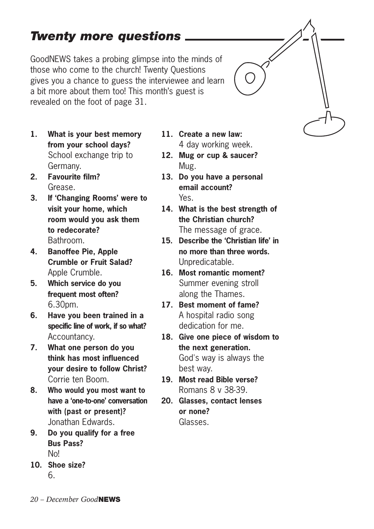# *Twenty more questions*

GoodNEWS takes a probing glimpse into the minds of those who come to the church! Twenty Questions gives you a chance to guess the interviewee and learn a bit more about them too! This month's guest is revealed on the foot of page 31.

- **1. What is your best memory from your school days?** School exchange trip to Germany.
- **2. Favourite film?** Grease.
- **3. If 'Changing Rooms' were to visit your home, which room would you ask them to redecorate?** Bathroom.
- **4. Banoffee Pie, Apple Crumble or Fruit Salad?** Apple Crumble.
- **5. Which service do you frequent most often?** 6.30pm.
- **6. Have you been trained in a specific line of work, if so what?** Accountancy.
- **7. What one person do you think has most influenced your desire to follow Christ?** Corrie ten Boom.
- **8. Who would you most want to have a 'one-to-one' conversation with (past or present)?** Jonathan Edwards.
- **9. Do you qualify for a free Bus Pass?** No!
- **10. Shoe size?** 6.
- **11. Create a new law:** 4 day working week.
- **12. Mug or cup & saucer?** Mug.
- **13. Do you have a personal email account?** Yes.
- **14. What is the best strength of the Christian church?** The message of grace.
- **15. Describe the 'Christian life' in no more than three words.** Unpredicatable.
- **16. Most romantic moment?** Summer evening stroll along the Thames.
- **17. Best moment of fame?** A hospital radio song dedication for me.
- **18. Give one piece of wisdom to the next generation.** God's way is always the best way.
- **19. Most read Bible verse?** Romans 8 v 38-39.
- **20. Glasses, contact lenses or none?** Glasses.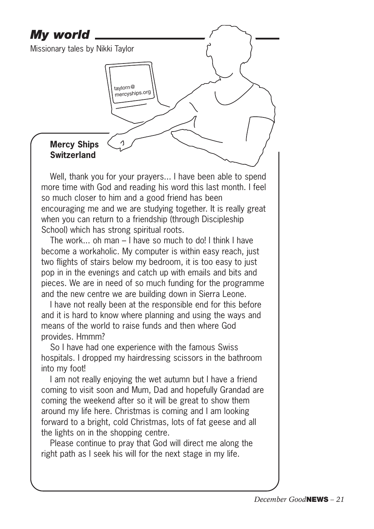## *My world*

Missionary tales by Nikki Taylor

taylorn@ mercyships.org

<sup>1</sup>

#### **Mercy Ships Switzerland**

Well, thank you for your prayers... I have been able to spend more time with God and reading his word this last month. I feel so much closer to him and a good friend has been encouraging me and we are studying together. It is really great when you can return to a friendship (through Discipleship School) which has strong spiritual roots.

The work... oh man – I have so much to do! I think I have become a workaholic. My computer is within easy reach, just two flights of stairs below my bedroom, it is too easy to just pop in in the evenings and catch up with emails and bits and pieces. We are in need of so much funding for the programme and the new centre we are building down in Sierra Leone.

I have not really been at the responsible end for this before and it is hard to know where planning and using the ways and means of the world to raise funds and then where God provides. Hmmm?

So I have had one experience with the famous Swiss hospitals. I dropped my hairdressing scissors in the bathroom into my foot!

I am not really enjoying the wet autumn but I have a friend coming to visit soon and Mum, Dad and hopefully Grandad are coming the weekend after so it will be great to show them around my life here. Christmas is coming and I am looking forward to a bright, cold Christmas, lots of fat geese and all the lights on in the shopping centre.

Please continue to pray that God will direct me along the right path as I seek his will for the next stage in my life.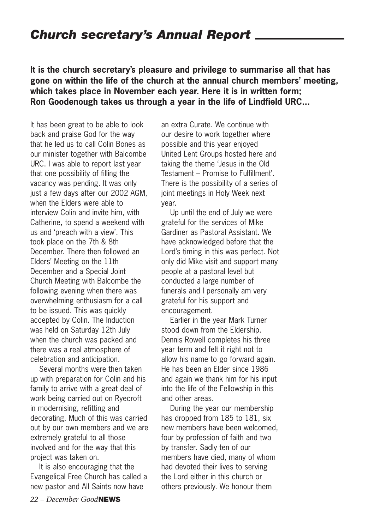### *Church secretary's Annual Report*

**It is the church secretary's pleasure and privilege to summarise all that has gone on within the life of the church at the annual church members' meeting, which takes place in November each year. Here it is in written form; Ron Goodenough takes us through a year in the life of Lindfield URC...**

It has been great to be able to look back and praise God for the way that he led us to call Colin Bones as our minister together with Balcombe URC. I was able to report last year that one possibility of filling the vacancy was pending. It was only just a few days after our 2002 AGM. when the Elders were able to interview Colin and invite him, with Catherine, to spend a weekend with us and 'preach with a view'. This took place on the 7th & 8th December. There then followed an Elders' Meeting on the 11th December and a Special Joint Church Meeting with Balcombe the following evening when there was overwhelming enthusiasm for a call to be issued. This was quickly accepted by Colin. The Induction was held on Saturday 12th July when the church was packed and there was a real atmosphere of celebration and anticipation.

Several months were then taken up with preparation for Colin and his family to arrive with a great deal of work being carried out on Ryecroft in modernising, refitting and decorating. Much of this was carried out by our own members and we are extremely grateful to all those involved and for the way that this project was taken on.

It is also encouraging that the Evangelical Free Church has called a new pastor and All Saints now have

an extra Curate. We continue with our desire to work together where possible and this year enjoyed United Lent Groups hosted here and taking the theme 'Jesus in the Old Testament – Promise to Fulfillment'. There is the possibility of a series of joint meetings in Holy Week next year.

Up until the end of July we were grateful for the services of Mike Gardiner as Pastoral Assistant. We have acknowledged before that the Lord's timing in this was perfect. Not only did Mike visit and support many people at a pastoral level but conducted a large number of funerals and I personally am very grateful for his support and encouragement.

Earlier in the year Mark Turner stood down from the Eldership. Dennis Rowell completes his three year term and felt it right not to allow his name to go forward again. He has been an Elder since 1986 and again we thank him for his input into the life of the Fellowship in this and other areas.

During the year our membership has dropped from 185 to 181, six new members have been welcomed, four by profession of faith and two by transfer. Sadly ten of our members have died, many of whom had devoted their lives to serving the Lord either in this church or others previously. We honour them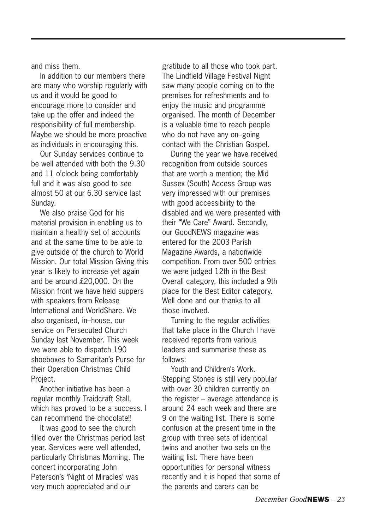and miss them.

In addition to our members there are many who worship regularly with us and it would be good to encourage more to consider and take up the offer and indeed the responsibility of full membership. Maybe we should be more proactive as individuals in encouraging this.

Our Sunday services continue to be well attended with both the 9.30 and 11 o'clock being comfortably full and it was also good to see almost 50 at our 6.30 service last Sunday.

We also praise God for his material provision in enabling us to maintain a healthy set of accounts and at the same time to be able to give outside of the church to World Mission. Our total Mission Giving this year is likely to increase yet again and be around £20,000. On the Mission front we have held suppers with speakers from Release International and WorldShare. We also organised, in–house, our service on Persecuted Church Sunday last November. This week we were able to dispatch 190 shoeboxes to Samaritan's Purse for their Operation Christmas Child Project.

Another initiative has been a regular monthly Traidcraft Stall, which has proved to be a success. I can recommend the chocolate!!

It was good to see the church filled over the Christmas period last year. Services were well attended, particularly Christmas Morning. The concert incorporating John Peterson's 'Night of Miracles' was very much appreciated and our

gratitude to all those who took part. The Lindfield Village Festival Night saw many people coming on to the premises for refreshments and to enjoy the music and programme organised. The month of December is a valuable time to reach people who do not have any on–going contact with the Christian Gospel.

During the year we have received recognition from outside sources that are worth a mention; the Mid Sussex (South) Access Group was very impressed with our premises with good accessibility to the disabled and we were presented with their "We Care" Award. Secondly, our GoodNEWS magazine was entered for the 2003 Parish Magazine Awards, a nationwide competition. From over 500 entries we were judged 12th in the Best Overall category, this included a 9th place for the Best Editor category. Well done and our thanks to all those involved.

Turning to the regular activities that take place in the Church I have received reports from various leaders and summarise these as follows:

Youth and Children's Work. Stepping Stones is still very popular with over 30 children currently on the register – average attendance is around 24 each week and there are 9 on the waiting list. There is some confusion at the present time in the group with three sets of identical twins and another two sets on the waiting list. There have been opportunities for personal witness recently and it is hoped that some of the parents and carers can be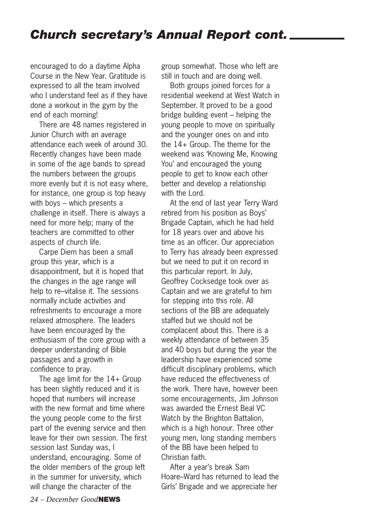encouraged to do a daytime Alpha Course in the New Year. Gratitude is expressed to all the team involved who I understand feel as if they have done a workout in the gym by the end of each morning!

There are 48 names registered in Junior Church with an average attendance each week of around 30. Recently changes have been made in some of the age bands to spread the numbers between the groups more evenly but it is not easy where, for instance, one group is top heavy with boys – which presents a challenge in itself. There is always a need for more help; many of the teachers are committed to other aspects of church life.

Carpe Diem has been a small group this year, which is a disappointment, but it is hoped that the changes in the age range will help to re–vitalise it. The sessions normally include activities and refreshments to encourage a more relaxed atmosphere. The leaders have been encouraged by the enthusiasm of the core group with a deeper understanding of Bible passages and a growth in confidence to pray.

The age limit for the 14+ Group has been slightly reduced and it is hoped that numbers will increase with the new format and time where the young people come to the first part of the evening service and then leave for their own session. The first session last Sunday was, I understand, encouraging. Some of the older members of the group left in the summer for university, which will change the character of the

group somewhat. Those who left are still in touch and are doing well.

Both groups joined forces for a residential weekend at West Watch in September. It proved to be a good bridge building event – helping the young people to move on spiritually and the younger ones on and into the 14+ Group. The theme for the weekend was 'Knowing Me, Knowing You' and encouraged the young people to get to know each other better and develop a relationship with the Lord.

At the end of last year Terry Ward retired from his position as Boys' Brigade Captain, which he had held for 18 years over and above his time as an officer. Our appreciation to Terry has already been expressed but we need to put it on record in this particular report. In July, Geoffrey Cocksedge took over as Captain and we are grateful to him for stepping into this role. All sections of the BB are adequately staffed but we should not be complacent about this. There is a weekly attendance of between 35 and 40 boys but during the year the leadership have experienced some difficult disciplinary problems, which have reduced the effectiveness of the work. There have, however been some encouragements, Jim Johnson was awarded the Ernest Beal VC Watch by the Brighton Battalion, which is a high honour. Three other young men, long standing members of the BB have been helped to Christian faith.

After a year's break Sam Hoare–Ward has returned to lead the Girls' Brigade and we appreciate her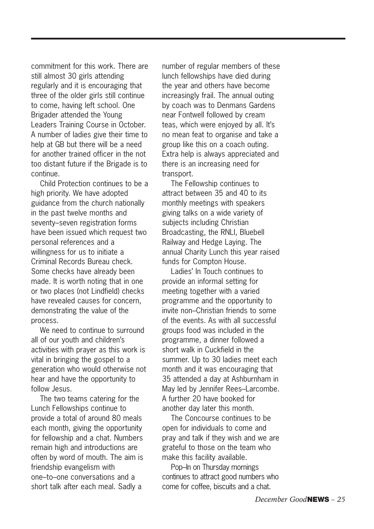commitment for this work. There are still almost 30 girls attending regularly and it is encouraging that three of the older girls still continue to come, having left school. One Brigader attended the Young Leaders Training Course in October. A number of ladies give their time to help at GB but there will be a need for another trained officer in the not too distant future if the Brigade is to continue.

Child Protection continues to be a high priority. We have adopted guidance from the church nationally in the past twelve months and seventy–seven registration forms have been issued which request two personal references and a willingness for us to initiate a Criminal Records Bureau check. Some checks have already been made. It is worth noting that in one or two places (not Lindfield) checks have revealed causes for concern, demonstrating the value of the process.

We need to continue to surround all of our youth and children's activities with prayer as this work is vital in bringing the gospel to a generation who would otherwise not hear and have the opportunity to follow Jesus.

The two teams catering for the Lunch Fellowships continue to provide a total of around 80 meals each month, giving the opportunity for fellowship and a chat. Numbers remain high and introductions are often by word of mouth. The aim is friendship evangelism with one–to–one conversations and a short talk after each meal. Sadly a

number of regular members of these lunch fellowships have died during the year and others have become increasingly frail. The annual outing by coach was to Denmans Gardens near Fontwell followed by cream teas, which were enjoyed by all. It's no mean feat to organise and take a group like this on a coach outing. Extra help is always appreciated and there is an increasing need for transport.

The Fellowship continues to attract between 35 and 40 to its monthly meetings with speakers giving talks on a wide variety of subjects including Christian Broadcasting, the RNLI, Bluebell Railway and Hedge Laying. The annual Charity Lunch this year raised funds for Compton House.

Ladies' In Touch continues to provide an informal setting for meeting together with a varied programme and the opportunity to invite non–Christian friends to some of the events. As with all successful groups food was included in the programme, a dinner followed a short walk in Cuckfield in the summer. Up to 30 ladies meet each month and it was encouraging that 35 attended a day at Ashburnham in May led by Jennifer Rees–Larcombe. A further 20 have booked for another day later this month.

The Concourse continues to be open for individuals to come and pray and talk if they wish and we are grateful to those on the team who make this facility available.

Pop–In on Thursday mornings continues to attract good numbers who come for coffee, biscuits and a chat.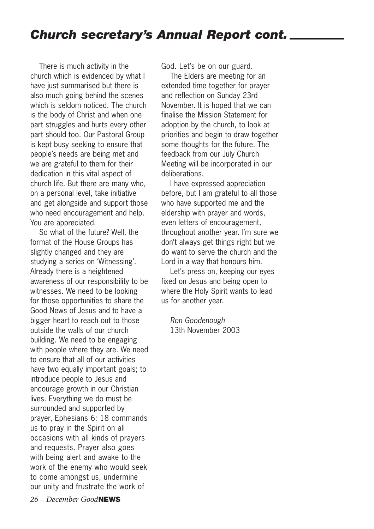There is much activity in the church which is evidenced by what I have just summarised but there is also much going behind the scenes which is seldom noticed. The church is the body of Christ and when one part struggles and hurts every other part should too. Our Pastoral Group is kept busy seeking to ensure that people's needs are being met and we are grateful to them for their dedication in this vital aspect of church life. But there are many who, on a personal level, take initiative and get alongside and support those who need encouragement and help. You are appreciated.

So what of the future? Well, the format of the House Groups has slightly changed and they are studying a series on 'Witnessing'. Already there is a heightened awareness of our responsibility to be witnesses. We need to be looking for those opportunities to share the Good News of Jesus and to have a bigger heart to reach out to those outside the walls of our church building. We need to be engaging with people where they are. We need to ensure that all of our activities have two equally important goals; to introduce people to Jesus and encourage growth in our Christian lives. Everything we do must be surrounded and supported by prayer, Ephesians 6: 18 commands us to pray in the Spirit on all occasions with all kinds of prayers and requests. Prayer also goes with being alert and awake to the work of the enemy who would seek to come amongst us, undermine our unity and frustrate the work of

*26 – December Good***NEWS**

God. Let's be on our guard.

The Elders are meeting for an extended time together for prayer and reflection on Sunday 23rd November. It is hoped that we can finalise the Mission Statement for adoption by the church, to look at priorities and begin to draw together some thoughts for the future. The feedback from our July Church Meeting will be incorporated in our deliberations.

I have expressed appreciation before, but I am grateful to all those who have supported me and the eldership with prayer and words, even letters of encouragement, throughout another year. I'm sure we don't always get things right but we do want to serve the church and the Lord in a way that honours him.

Let's press on, keeping our eyes fixed on Jesus and being open to where the Holy Spirit wants to lead us for another year.

*Ron Goodenough* 13th November 2003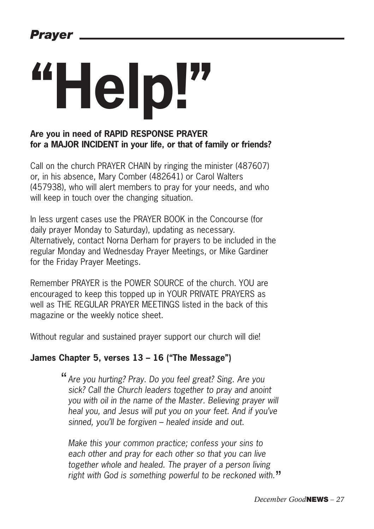# **"Help!"**

#### **Are you in need of RAPID RESPONSE PRAYER for a MAJOR INCIDENT in your life, or that of family or friends?**

Call on the church PRAYER CHAIN by ringing the minister (487607) or, in his absence, Mary Comber (482641) or Carol Walters (457938), who will alert members to pray for your needs, and who will keep in touch over the changing situation.

In less urgent cases use the PRAYER BOOK in the Concourse (for daily prayer Monday to Saturday), updating as necessary. Alternatively, contact Norna Derham for prayers to be included in the regular Monday and Wednesday Prayer Meetings, or Mike Gardiner for the Friday Prayer Meetings.

Remember PRAYER is the POWER SOURCE of the church. YOU are encouraged to keep this topped up in YOUR PRIVATE PRAYERS as well as THE REGULAR PRAYER MEETINGS listed in the back of this magazine or the weekly notice sheet.

Without regular and sustained prayer support our church will die!

#### **James Chapter 5, verses 13 – 16 ("The Message")**

*Are you hurting? Pray. Do you feel great? Sing. Are you* " *sick? Call the Church leaders together to pray and anoint you with oil in the name of the Master. Believing prayer will heal you, and Jesus will put you on your feet. And if you've sinned, you'll be forgiven – healed inside and out.*

*Make this your common practice; confess your sins to each other and pray for each other so that you can live together whole and healed. The prayer of a person living right with God is something powerful to be reckoned with.* "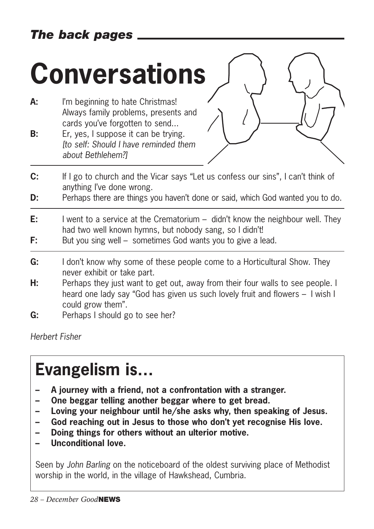## *The back pages*

# **Conversations**

- A: I'm beginning to hate Christmas! Always family problems, presents and cards you've forgotten to send...
- **B:** Er, yes, I suppose it can be trying. *[to self: Should I have reminded them about Bethlehem?]*



- **C:** If I go to church and the Vicar says "Let us confess our sins", I can't think of anything I've done wrong.
- **D:** Perhaps there are things you haven't done or said, which God wanted you to do.
- **E:** I went to a service at the Crematorium didn't know the neighbour well. They had two well known hymns, but nobody sang, so I didn't!
- **F:** But you sing well sometimes God wants you to give a lead.
- **G:** I don't know why some of these people come to a Horticultural Show. They never exhibit or take part.
- **H:** Perhaps they just want to get out, away from their four walls to see people. I heard one lady say "God has given us such lovely fruit and flowers – I wish I could grow them".
- **G:** Perhaps I should go to see her?

*Herbert Fisher*

# **Evangelism is…**

- **– A journey with a friend, not a confrontation with a stranger.**
- **One beggar telling another beggar where to get bread.**
- **– Loving your neighbour until he/she asks why, then speaking of Jesus.**
- **– God reaching out in Jesus to those who don't yet recognise His love.**
- **– Doing things for others without an ulterior motive.**
- **– Unconditional love.**

Seen by *John Barling* on the noticeboard of the oldest surviving place of Methodist worship in the world, in the village of Hawkshead, Cumbria.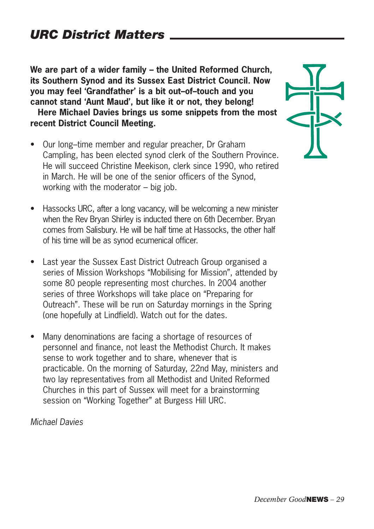**We are part of a wider family – the United Reformed Church, its Southern Synod and its Sussex East District Council. Now you may feel 'Grandfather' is a bit out–of–touch and you cannot stand 'Aunt Maud', but like it or not, they belong!**

**Here Michael Davies brings us some snippets from the most recent District Council Meeting.**

- Our long–time member and regular preacher, Dr Graham Campling, has been elected synod clerk of the Southern Province. He will succeed Christine Meekison, clerk since 1990, who retired in March. He will be one of the senior officers of the Synod, working with the moderator – big job.
- Hassocks URC, after a long vacancy, will be welcoming a new minister when the Rev Bryan Shirley is inducted there on 6th December. Bryan comes from Salisbury. He will be half time at Hassocks, the other half of his time will be as synod ecumenical officer.
- Last year the Sussex East District Outreach Group organised a series of Mission Workshops "Mobilising for Mission", attended by some 80 people representing most churches. In 2004 another series of three Workshops will take place on "Preparing for Outreach". These will be run on Saturday mornings in the Spring (one hopefully at Lindfield). Watch out for the dates.
- Many denominations are facing a shortage of resources of personnel and finance, not least the Methodist Church. It makes sense to work together and to share, whenever that is practicable. On the morning of Saturday, 22nd May, ministers and two lay representatives from all Methodist and United Reformed Churches in this part of Sussex will meet for a brainstorming session on "Working Together" at Burgess Hill URC.

*Michael Davies*

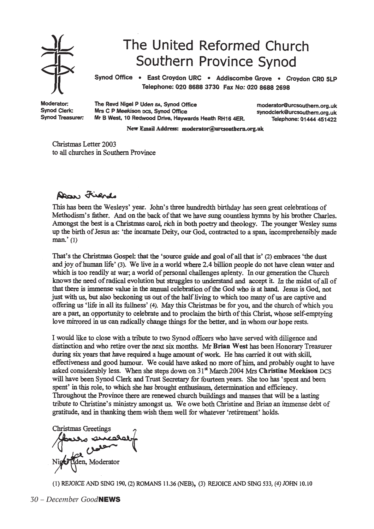

# The United Reformed Church Southern Province Synod

Synod Office . East Croydon URC . Addiscombe Grove . Croydon CRO 5LP Telephone: 020 8688 3730 Fax No: 020 8688 2698

Moderator: Synod Clerk: **Synod Treasurer:**  The Revd Nigel P Uden BA, Synod Office Mrs C P Meekison DCS, Synod Office Mr B West, 10 Redwood Drive, Haywards Heath RH16 4ER.

moderator@urcsouthern.org.uk synodclerk@urcsouthern.org.uk Telephone: 01444 451422

New Email Address: moderator@urcsouthern.org.uk

Christmas Letter 2003 to all churches in Southern Province

#### Daw Fiends

This has been the Wesleys' year. John's three hundredth birthday has seen great celebrations of Methodism's father. And on the back of that we have sung countless hymns by his brother Charles. Amongst the best is a Christmas carol, rich in both poetry and theology. The younger Wesley sums up the birth of Jesus as: 'the incarnate Deity, our God, contracted to a span, incomprehensibly made  $man.'(1)$ 

That's the Christmas Gospel: that the 'source guide and goal of all that is' (2) embraces 'the dust and joy of human life' (3). We live in a world where 2.4 billion people do not have clean water and which is too readily at war; a world of personal challenges aplenty. In our generation the Church knows the need of radical evolution but struggles to understand and accept it. In the midst of all of that there is immense value in the annual celebration of the God who is at hand. Jesus is God, not just with us, but also beckoning us out of the half living to which too many of us are captive and offering us 'life in all its fullness' (4). May this Christmas be for you, and the church of which you are a part, an opportunity to celebrate and to proclaim the birth of this Christ, whose self-emptying love mirrored in us can radically change things for the better, and in whom our hope rests.

I would like to close with a tribute to two Synod officers who have served with diligence and distinction and who retire over the next six months. Mr Brian West has been Honorary Treasurer during six years that have required a huge amount of work. He has carried it out with skill, effectiveness and good humour. We could have asked no more of him, and probably ought to have asked considerably less. When she steps down on 31<sup>st</sup> March 2004 Mrs Christine Meekison DCS will have been Synod Clerk and Trust Secretary for fourteen years. She too has 'spent and been spent' in this role, to which she has brought enthusiasm, determination and efficiency. Throughout the Province there are renewed church buildings and manses that will be a lasting tribute to Christine's ministry amongst us. We owe both Christine and Brian an immense debt of gratitude, and in thanking them wish them well for whatever 'retirement' holds.

**Christmas Greetings** den, Moderator

(1) REJOICE AND SING 190, (2) ROMANS 11.36 (NEB), (3) REJOICE AND SING 533, (4) JOHN 10.10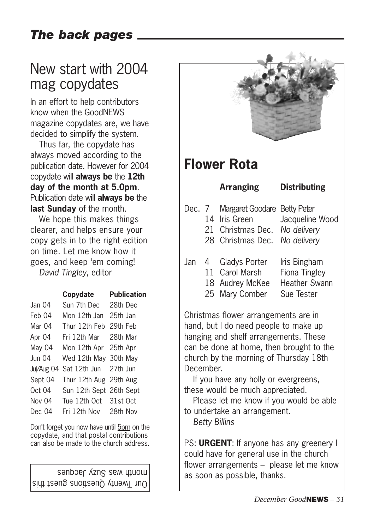## *The back pages*

# New start with 2004 mag copydates

In an effort to help contributors know when the GoodNEWS magazine copydates are, we have decided to simplify the system.

Thus far, the copydate has always moved according to the publication date. However for 2004 copydate will **always be** the **12th day of the month at 5.0pm**. Publication date will **always be** the **last Sunday** of the month.

We hope this makes things clearer, and helps ensure your copy gets in to the right edition on time. Let me know how it goes, and keep 'em coming! *David Tingley*, editor

|            | Copydate                | <b>Publication</b> |
|------------|-------------------------|--------------------|
| Jan 04     | Sun 7th Dec 28th Dec    |                    |
| Feb 04     | Mon 12th Jan 25th Jan   |                    |
| Mar 04     | Thur 12th Feb 29th Feb  |                    |
| Apr 04     | Fri 12th Mar - 28th Mar |                    |
| May 04     | Mon 12th Apr 25th Apr   |                    |
| Jun 04     | Wed 12th May 30th May   |                    |
| Jul/Aug 04 | Sat 12th Jun 27th Jun   |                    |
| Sept 04    | Thur 12th Aug 29th Aug  |                    |
| Oct 04     | Sun 12th Sept 26th Sept |                    |
| Nov 04     | Tue 12th Oct 31st Oct   |                    |
| Dec 04     | Fri 12th Nov 28th Nov   |                    |
|            |                         |                    |

Don't forget you now have until 5pm on the copydate, and that postal contributions can also be made to the church address.

Sanboer  $\chi$ zng sem utuow as soon as possible, thanks.<br>Sult thanks.



hanging and shelf arrangements. These can be done at home, then brought to the church by the morning of Thursday 18th December.

If you have any holly or evergreens, these would be much appreciated.

Please let me know if you would be able to undertake an arrangement.

*Betty Billins*

PS: **URGENT**: If anyone has any greenery I could have for general use in the church flower arrangements – please let me know